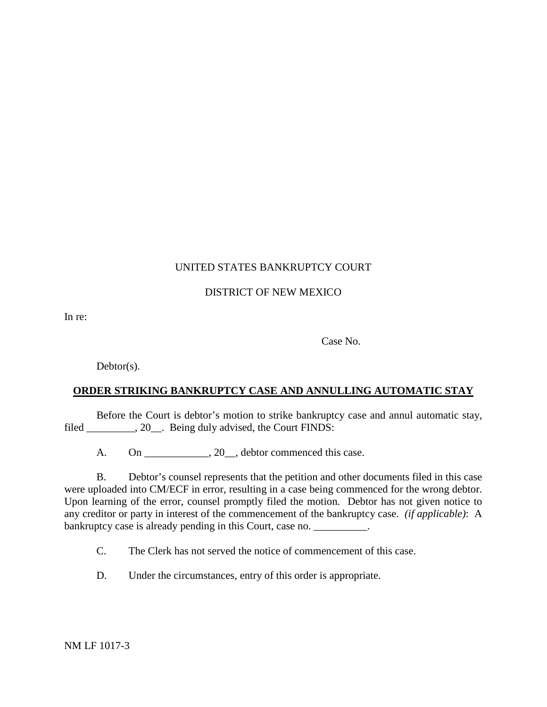## UNITED STATES BANKRUPTCY COURT

### DISTRICT OF NEW MEXICO

In re:

Case No.

Debtor(s).

# **ORDER STRIKING BANKRUPTCY CASE AND ANNULLING AUTOMATIC STAY**

Before the Court is debtor's motion to strike bankruptcy case and annul automatic stay, filed \_\_\_\_\_\_\_\_\_, 20\_\_. Being duly advised, the Court FINDS:

A. On 20 debtor commenced this case.

B. Debtor's counsel represents that the petition and other documents filed in this case were uploaded into CM/ECF in error, resulting in a case being commenced for the wrong debtor. Upon learning of the error, counsel promptly filed the motion. Debtor has not given notice to any creditor or party in interest of the commencement of the bankruptcy case. *(if applicable)*: A bankruptcy case is already pending in this Court, case no.

C. The Clerk has not served the notice of commencement of this case.

D. Under the circumstances, entry of this order is appropriate.